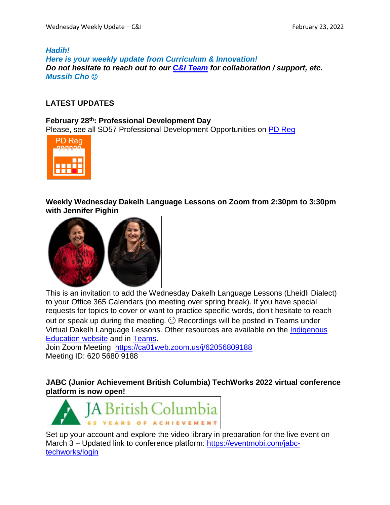#### *Hadih! Here is your weekly update from Curriculum & Innovation! Do not hesitate to reach out to our C&I [Team](https://www.sd57curriculumhub.com/who-are-we) for collaboration / support, etc. Mussih Cho*

# **LATEST UPDATES**

# **February 28th: Professional Development Day**

Please, see all SD57 Professional Development Opportunities on PD [Reg](https://apps.powerapps.com/play/providers/Microsoft.PowerApps/apps/4eceb8ec-7e63-4ffa-bf7c-35490d32df6b)



**Weekly Wednesday Dakelh Language Lessons on Zoom from 2:30pm to 3:30pm with Jennifer Pighin**



This is an invitation to add the Wednesday Dakelh Language Lessons (Lheidli Dialect) to your Office 365 Calendars (no meeting over spring break). If you have special requests for topics to cover or want to practice specific words, don't hesitate to reach out or speak up during the meeting.  $\odot$  Recordings will be posted in Teams under Virtual Dakelh Language Lessons. Other resources are available on the [Indigenous](https://www.sd57indigenouseducation.com/) [Education](https://www.sd57indigenouseducation.com/) website and in [Teams.](https://teams.microsoft.com/l/team/19%3a3179cd5844164513ba3ec89a8e086284%40thread.tacv2/conversations?groupId=4f6ac513-9327-49e6-966e-c6f882263ca7&tenantId=5b9667b0-988f-4a70-b078-286faef38924)

Join Zoom Meeting <https://ca01web.zoom.us/j/62056809188> Meeting ID: 620 5680 9188

**JABC (Junior Achievement British Columbia) TechWorks 2022 virtual conference platform is now open!**



Set up your account and explore the video library in preparation for the live event on March 3 – Updated link to conference platform: [https://eventmobi.com/jabc](https://eventmobi.com/jabc-techworks/login)[techworks/login](https://eventmobi.com/jabc-techworks/login)